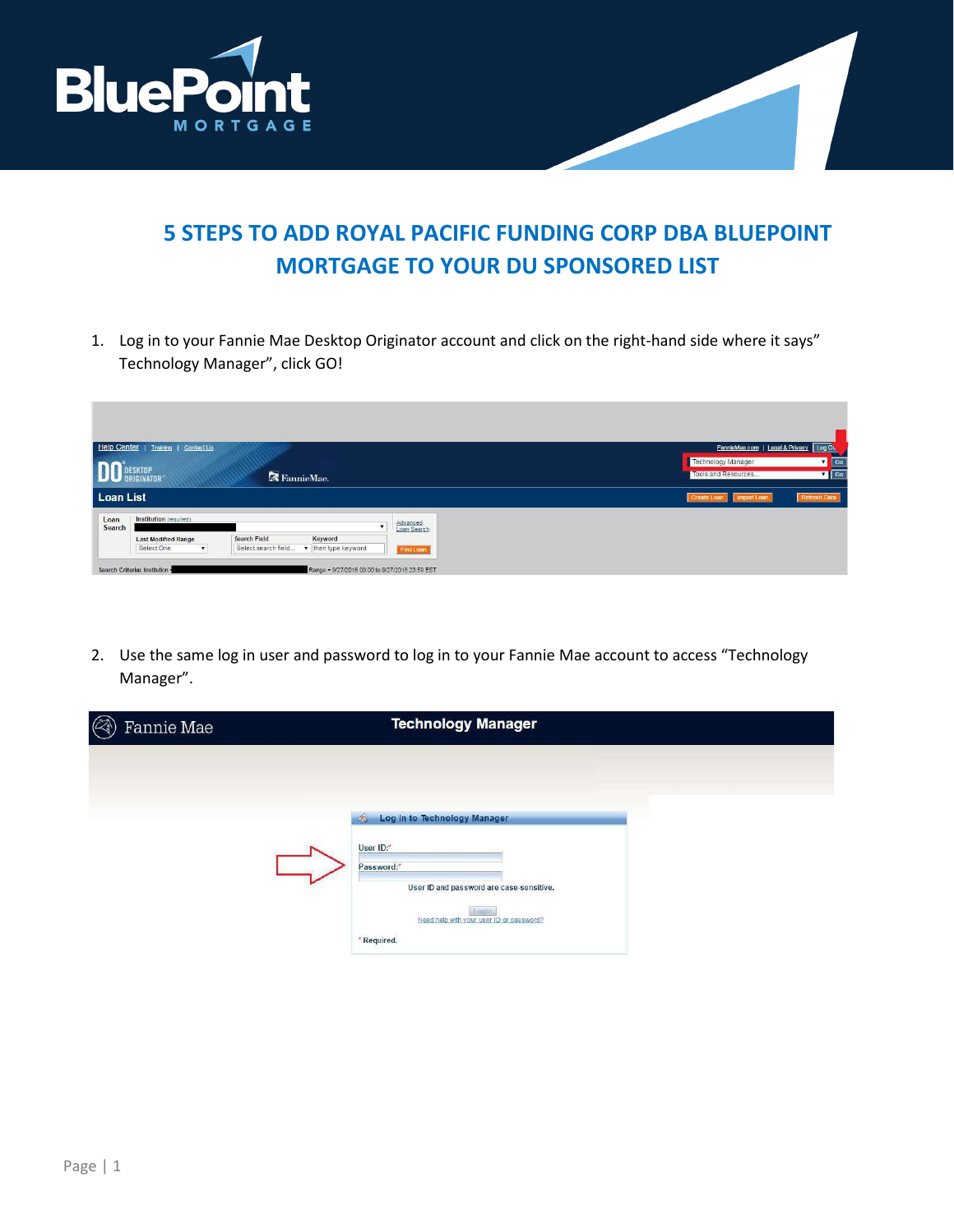

## **5 STEPS TO ADD ROYAL PACIFIC FUNDING CORP DBA BLUEPOINT MORTGAGE TO YOUR DU SPONSORED LIST**

1. Log in to your Fannie Mae Desktop Originator account and click on the right-hand side where it says" Technology Manager", click GO!

| Help Center    | Training   Contact Us        |                                            |                         | FannieMae.com   Legal & Privacy   Log Ou                                     |
|----------------|------------------------------|--------------------------------------------|-------------------------|------------------------------------------------------------------------------|
|                | DESKTOP<br><b>ORIGINATOR</b> | FannieMae.                                 |                         | Technology Manager<br>$\sqrt{G}$<br>$\blacksquare$ Go<br>Tools and Resources |
| Loan List      |                              |                                            |                         | <b>Refresh Data</b><br><b>Create Loa</b><br>Import Loan                      |
| Loan<br>Search | Institution (required)       |                                            | Advanced<br>Loan Search |                                                                              |
|                | <b>Last Modified Range</b>   | Keyword<br>Search Field                    |                         |                                                                              |
|                | Select One<br>$\mathbf{v}$   | v then type keyword<br>Select search field | Find Loan               |                                                                              |

2. Use the same log in user and password to log in to your Fannie Mae account to access "Technology Manager".

| <b>Technology Manager</b>                                                                                                                                                                |
|------------------------------------------------------------------------------------------------------------------------------------------------------------------------------------------|
| Log in to Technology Manager<br>$\mathcal{A}$<br>User ID:*<br>Password:*<br>User ID and password are case-sensitive.<br>Login<br>Need help with your user ID or password?<br>* Required. |
|                                                                                                                                                                                          |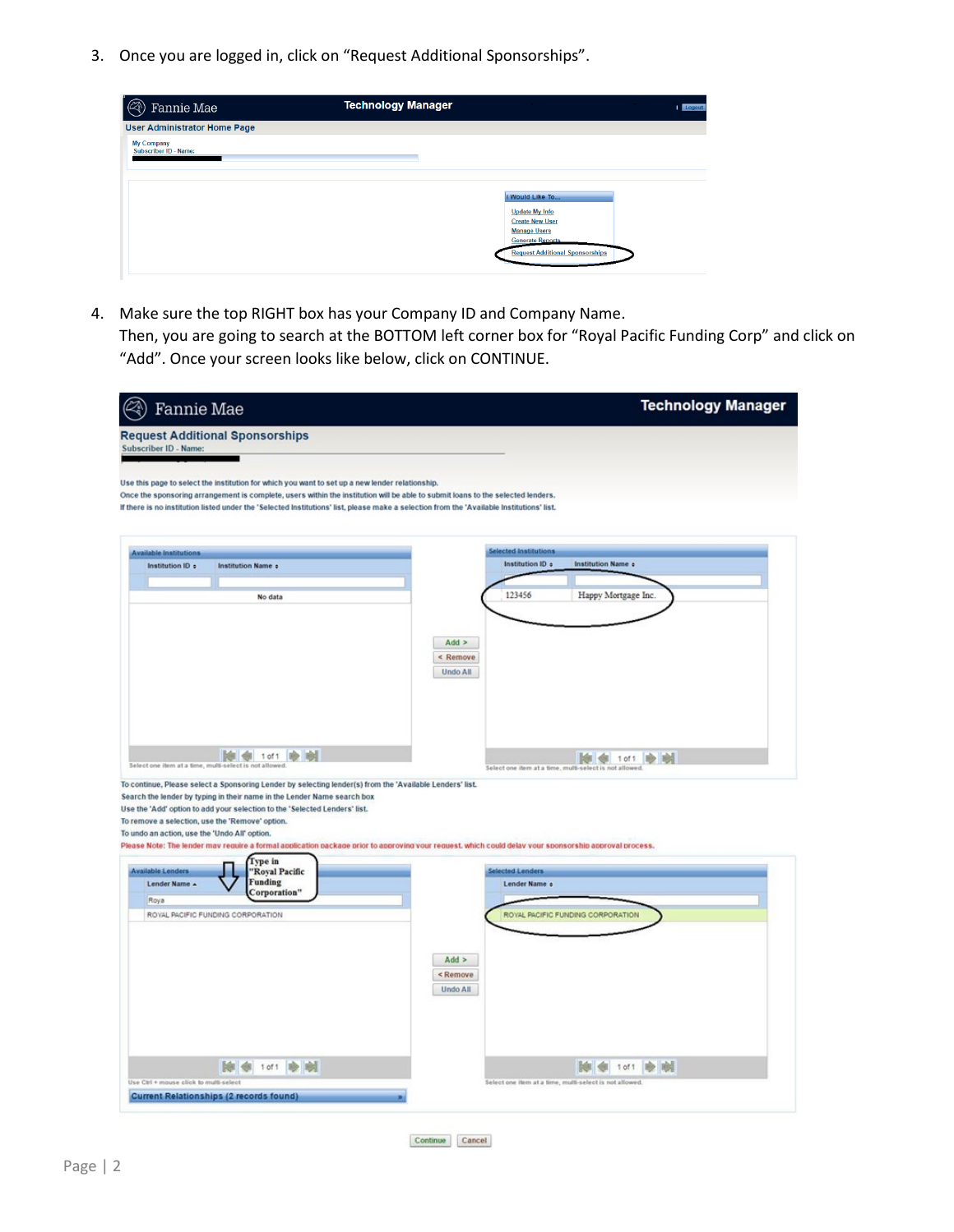3. Once you are logged in, click on "Request Additional Sponsorships".

| <b>Technology Manager</b> | <b>I</b> Logout                                                                                                                                                |
|---------------------------|----------------------------------------------------------------------------------------------------------------------------------------------------------------|
|                           |                                                                                                                                                                |
|                           | I Would Like To<br><b>Update My Info</b><br><b>Create New User</b><br><b>Manage Users</b><br><b>Generate Reports</b><br><b>Request Additional Sponsorships</b> |
|                           |                                                                                                                                                                |

4. Make sure the top RIGHT box has your Company ID and Company Name.

Then, you are going to search at the BOTTOM left corner box for "Royal Pacific Funding Corp" and click on "Add". Once your screen looks like below, click on CONTINUE.

| Fannie Mae                                                                                                                                                                                                                                                                                                                                                                      | <b>Technology Manager</b>                                                |
|---------------------------------------------------------------------------------------------------------------------------------------------------------------------------------------------------------------------------------------------------------------------------------------------------------------------------------------------------------------------------------|--------------------------------------------------------------------------|
| <b>Request Additional Sponsorships</b><br>Subscriber ID - Name:                                                                                                                                                                                                                                                                                                                 |                                                                          |
| Use this page to select the institution for which you want to set up a new lender relationship.<br>Once the sponsoring arrangement is complete, users within the institution will be able to submit loans to the selected lenders.<br>If there is no institution listed under the 'Selected Institutions' list, please make a selection from the 'Available Institutions' list. |                                                                          |
| <b>Available Institutions</b><br>Institution ID +<br><b>Institution Name of</b>                                                                                                                                                                                                                                                                                                 | <b>Selected Institutions</b><br>Institution ID +<br>Institution Name +   |
| No data                                                                                                                                                                                                                                                                                                                                                                         | 123456<br>Happy Mortgage Inc.                                            |
|                                                                                                                                                                                                                                                                                                                                                                                 | $Add$ ><br>< Remove<br>Undo All                                          |
| $\left \frac{1}{2}\right $ 1 of 1<br><b>BO</b> BOOT<br>Select one item at a time, multi-select is not allowed.                                                                                                                                                                                                                                                                  | 101 1 1 0 1 1<br>Select one item at a time, multi-select is not allowed. |
| To continue, Please select a Sponsoring Lender by selecting lender(s) from the 'Available Lenders' list.<br>Search the lender by typing in their name in the Lender Name search box<br>Use the 'Add' option to add your selection to the 'Selected Lenders' list.<br>To remove a selection, use the 'Remove' option.<br>To undo an action, use the 'Undo All' option.           |                                                                          |
| Please Note: The lender may require a formal application package prior to approving your request, which could delay your sponsorship approval process.<br>Type in<br><b>Available Lenders</b><br>'Royal Pacific                                                                                                                                                                 | <b>Selected Lenders</b>                                                  |
| <b>Funding</b><br>Lender Name A<br>Corporation"<br>Roya                                                                                                                                                                                                                                                                                                                         | Lender Name +                                                            |
| ROYAL PACIFIC FUNDING CORPORATION                                                                                                                                                                                                                                                                                                                                               | ROYAL PACIFIC FUNDING CORPORATION                                        |
|                                                                                                                                                                                                                                                                                                                                                                                 | Add ><br><remove<br>Undo All</remove<br>                                 |
| 除命<br>1 of 1<br>Use Ctrl + mouse click to multi-select                                                                                                                                                                                                                                                                                                                          | № ∉<br>1 of 1<br>晚晚                                                      |
| <b>Current Relationships (2 records found)</b>                                                                                                                                                                                                                                                                                                                                  | Select one item at a time, multi-select is not allowed.                  |

Continue Cancel